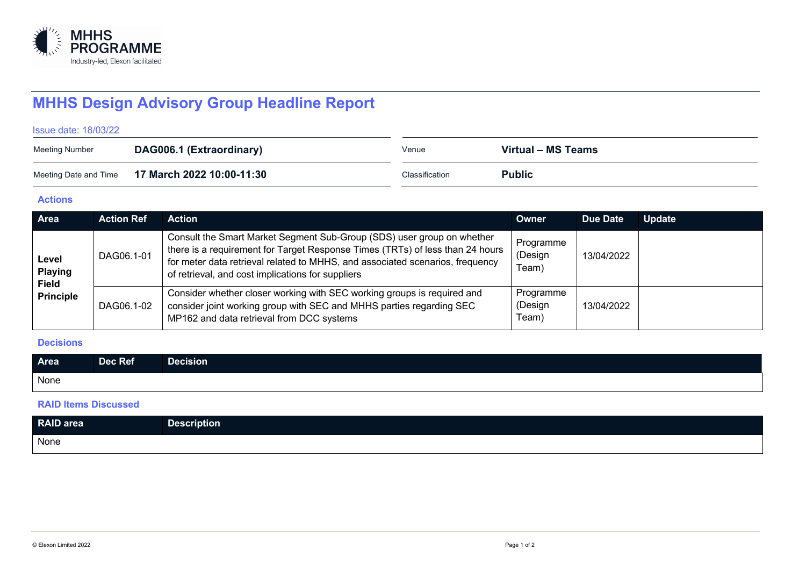

# **MHHS Design Advisory Group Headline Report**

#### Issue date: 18/03/22

| <b>Meeting Number</b> | DAG006.1 (Extraordinary)                        | Venue          | Virtual – MS Teams |
|-----------------------|-------------------------------------------------|----------------|--------------------|
|                       | Meeting Date and Time 17 March 2022 10:00-11:30 | Classification | <b>Public</b>      |

## **Actions**

| Area                                                        | <b>Action Ref</b> | <b>Action</b>                                                                                                                                                                                                                                                                                 | Owner                         | Due Date   | <b>Update</b> |
|-------------------------------------------------------------|-------------------|-----------------------------------------------------------------------------------------------------------------------------------------------------------------------------------------------------------------------------------------------------------------------------------------------|-------------------------------|------------|---------------|
| Level<br><b>Playing</b><br><b>Field</b><br><b>Principle</b> | DAG06.1-01        | Consult the Smart Market Segment Sub-Group (SDS) user group on whether<br>there is a requirement for Target Response Times (TRTs) of less than 24 hours<br>for meter data retrieval related to MHHS, and associated scenarios, frequency<br>of retrieval, and cost implications for suppliers | Programme<br>(Design<br>Team) | 13/04/2022 |               |
|                                                             | DAG06.1-02        | Consider whether closer working with SEC working groups is required and<br>consider joint working group with SEC and MHHS parties regarding SEC<br>MP162 and data retrieval from DCC systems                                                                                                  | Programme<br>(Design<br>Team) | 13/04/2022 |               |

### **Decisions**

| Area | Dec Ref | –<br>Decision |
|------|---------|---------------|
| None |         |               |

## **RAID Items Discussed**

| <b>RAID</b> area | <b>Description</b> |
|------------------|--------------------|
| None             |                    |